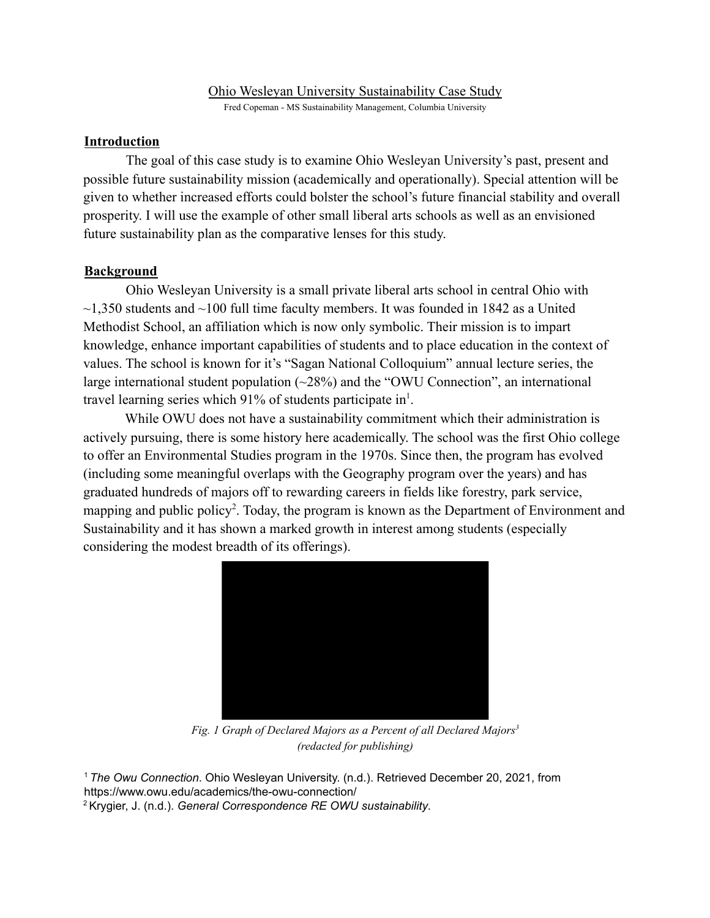### Ohio Wesleyan University Sustainability Case Study

Fred Copeman - MS Sustainability Management, Columbia University

## **Introduction**

The goal of this case study is to examine Ohio Wesleyan University's past, present and possible future sustainability mission (academically and operationally). Special attention will be given to whether increased efforts could bolster the school's future financial stability and overall prosperity. I will use the example of other small liberal arts schools as well as an envisioned future sustainability plan as the comparative lenses for this study.

# **Background**

Ohio Wesleyan University is a small private liberal arts school in central Ohio with  $\sim$ 1,350 students and  $\sim$ 100 full time faculty members. It was founded in 1842 as a United Methodist School, an affiliation which is now only symbolic. Their mission is to impart knowledge, enhance important capabilities of students and to place education in the context of values. The school is known for it's "Sagan National Colloquium" annual lecture series, the large international student population  $(\sim 28\%)$  and the "OWU Connection", an international travel learning series which 91% of students participate in<sup>1</sup>.

While OWU does not have a sustainability commitment which their administration is actively pursuing, there is some history here academically. The school was the first Ohio college to offer an Environmental Studies program in the 1970s. Since then, the program has evolved (including some meaningful overlaps with the Geography program over the years) and has graduated hundreds of majors off to rewarding careers in fields like forestry, park service, mapping and public policy<sup>2</sup>. Today, the program is known as the Department of Environment and Sustainability and it has shown a marked growth in interest among students (especially considering the modest breadth of its offerings).



*Fig. 1 Graph of Declared Majors as a Percent of all Declared Majors 3 (redacted for publishing)*

<sup>1</sup> *The Owu Connection*. Ohio Wesleyan University. (n.d.). Retrieved December 20, 2021, from https://www.owu.edu/academics/the-owu-connection/ <sup>2</sup> Krygier, J. (n.d.). *General Correspondence RE OWU sustainability*.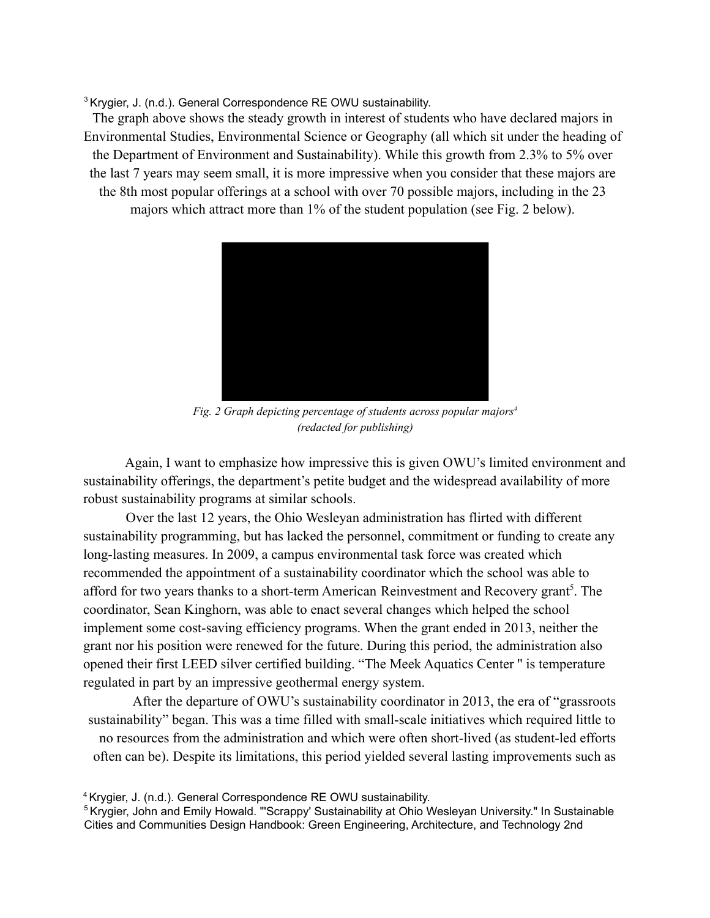<sup>3</sup> Krygier, J. (n.d.). General Correspondence RE OWU sustainability.

The graph above shows the steady growth in interest of students who have declared majors in Environmental Studies, Environmental Science or Geography (all which sit under the heading of the Department of Environment and Sustainability). While this growth from 2.3% to 5% over the last 7 years may seem small, it is more impressive when you consider that these majors are the 8th most popular offerings at a school with over 70 possible majors, including in the 23 majors which attract more than 1% of the student population (see Fig. 2 below).



*Fig. 2 Graph depicting percentage of students across popular majors 4 (redacted for publishing)*

Again, I want to emphasize how impressive this is given OWU's limited environment and sustainability offerings, the department's petite budget and the widespread availability of more robust sustainability programs at similar schools.

Over the last 12 years, the Ohio Wesleyan administration has flirted with different sustainability programming, but has lacked the personnel, commitment or funding to create any long-lasting measures. In 2009, a campus environmental task force was created which recommended the appointment of a sustainability coordinator which the school was able to afford for two years thanks to a short-term American Reinvestment and Recovery grant<sup>5</sup>. The coordinator, Sean Kinghorn, was able to enact several changes which helped the school implement some cost-saving efficiency programs. When the grant ended in 2013, neither the grant nor his position were renewed for the future. During this period, the administration also opened their first LEED silver certified building. "The Meek Aquatics Center '' is temperature regulated in part by an impressive geothermal energy system.

After the departure of OWU's sustainability coordinator in 2013, the era of "grassroots sustainability" began. This was a time filled with small-scale initiatives which required little to no resources from the administration and which were often short-lived (as student-led efforts often can be). Despite its limitations, this period yielded several lasting improvements such as

<sup>4</sup> Krygier, J. (n.d.). General Correspondence RE OWU sustainability.

<sup>&</sup>lt;sup>5</sup> Krygier, John and Emily Howald. "'Scrappy' Sustainability at Ohio Wesleyan University." In Sustainable Cities and Communities Design Handbook: Green Engineering, Architecture, and Technology 2nd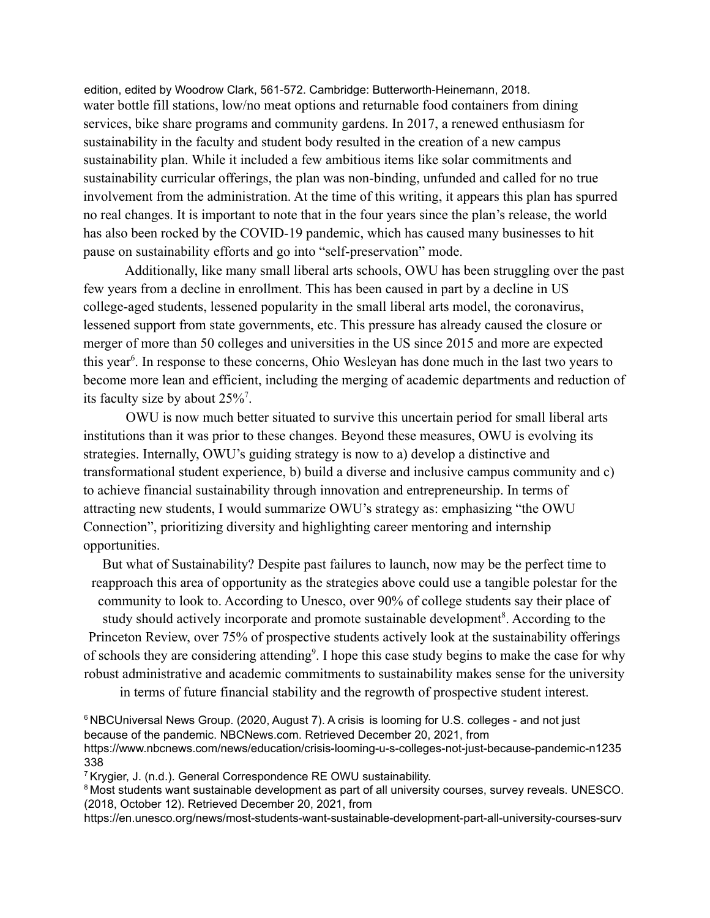edition, edited by Woodrow Clark, 561-572. Cambridge: Butterworth-Heinemann, 2018. water bottle fill stations, low/no meat options and returnable food containers from dining services, bike share programs and community gardens. In 2017, a renewed enthusiasm for sustainability in the faculty and student body resulted in the creation of a new campus sustainability plan. While it included a few ambitious items like solar commitments and sustainability curricular offerings, the plan was non-binding, unfunded and called for no true involvement from the administration. At the time of this writing, it appears this plan has spurred no real changes. It is important to note that in the four years since the plan's release, the world has also been rocked by the COVID-19 pandemic, which has caused many businesses to hit pause on sustainability efforts and go into "self-preservation" mode.

Additionally, like many small liberal arts schools, OWU has been struggling over the past few years from a decline in enrollment. This has been caused in part by a decline in US college-aged students, lessened popularity in the small liberal arts model, the coronavirus, lessened support from state governments, etc. This pressure has already caused the closure or merger of more than 50 colleges and universities in the US since 2015 and more are expected this year<sup>6</sup>. In response to these concerns, Ohio Wesleyan has done much in the last two years to become more lean and efficient, including the merging of academic departments and reduction of its faculty size by about 25%<sup>7</sup>.

OWU is now much better situated to survive this uncertain period for small liberal arts institutions than it was prior to these changes. Beyond these measures, OWU is evolving its strategies. Internally, OWU's guiding strategy is now to a) develop a distinctive and transformational student experience, b) build a diverse and inclusive campus community and c) to achieve financial sustainability through innovation and entrepreneurship. In terms of attracting new students, I would summarize OWU's strategy as: emphasizing "the OWU Connection", prioritizing diversity and highlighting career mentoring and internship opportunities.

But what of Sustainability? Despite past failures to launch, now may be the perfect time to reapproach this area of opportunity as the strategies above could use a tangible polestar for the community to look to. According to Unesco, over 90% of college students say their place of study should actively incorporate and promote sustainable development<sup>8</sup>. According to the Princeton Review, over 75% of prospective students actively look at the sustainability offerings of schools they are considering attending<sup>9</sup>. I hope this case study begins to make the case for why robust administrative and academic commitments to sustainability makes sense for the university

in terms of future financial stability and the regrowth of prospective student interest.

https://www.nbcnews.com/news/education/crisis-looming-u-s-colleges-not-just-because-pandemic-n1235 338

<sup>7</sup> Krygier, J. (n.d.). General Correspondence RE OWU sustainability.

<sup>8</sup> Most students want sustainable development as part of all university courses, survey reveals. UNESCO. (2018, October 12). Retrieved December 20, 2021, from

https://en.unesco.org/news/most-students-want-sustainable-development-part-all-university-courses-surv

<sup>&</sup>lt;sup>6</sup> NBCUniversal News Group. (2020, August 7). A crisis is looming for U.S. colleges - and not just because of the pandemic. NBCNews.com. Retrieved December 20, 2021, from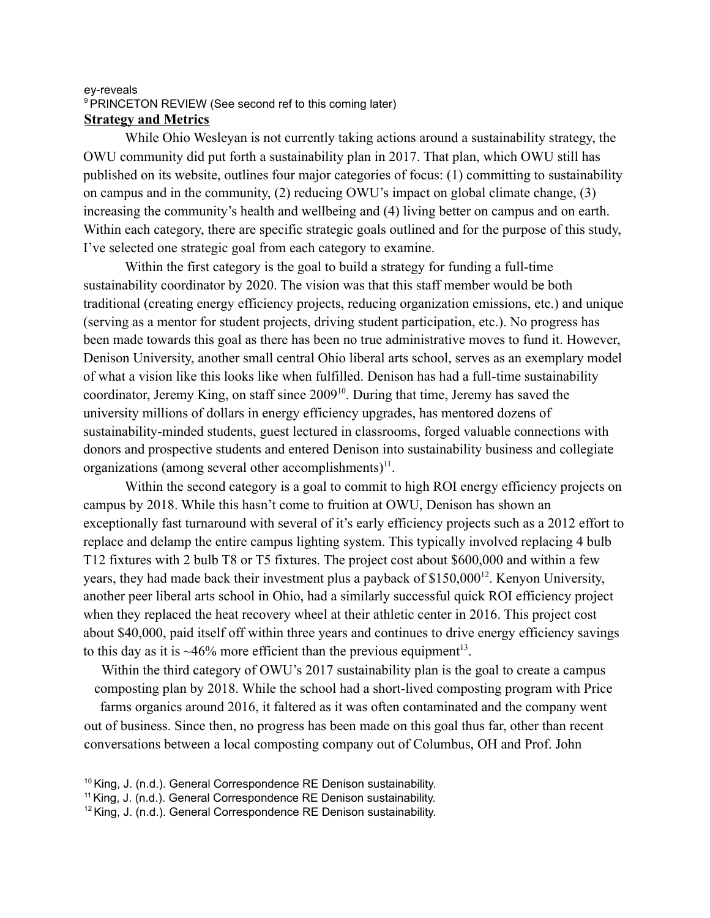#### ey-reveals <sup>9</sup> PRINCETON REVIEW (See second ref to this coming later) **Strategy and Metrics**

While Ohio Wesleyan is not currently taking actions around a sustainability strategy, the OWU community did put forth a sustainability plan in 2017. That plan, which OWU still has published on its website, outlines four major categories of focus: (1) committing to sustainability on campus and in the community, (2) reducing OWU's impact on global climate change, (3) increasing the community's health and wellbeing and (4) living better on campus and on earth. Within each category, there are specific strategic goals outlined and for the purpose of this study, I've selected one strategic goal from each category to examine.

Within the first category is the goal to build a strategy for funding a full-time sustainability coordinator by 2020. The vision was that this staff member would be both traditional (creating energy efficiency projects, reducing organization emissions, etc.) and unique (serving as a mentor for student projects, driving student participation, etc.). No progress has been made towards this goal as there has been no true administrative moves to fund it. However, Denison University, another small central Ohio liberal arts school, serves as an exemplary model of what a vision like this looks like when fulfilled. Denison has had a full-time sustainability coordinator, Jeremy King, on staff since  $2009<sup>10</sup>$ . During that time, Jeremy has saved the university millions of dollars in energy efficiency upgrades, has mentored dozens of sustainability-minded students, guest lectured in classrooms, forged valuable connections with donors and prospective students and entered Denison into sustainability business and collegiate organizations (among several other accomplishments) $11$ .

Within the second category is a goal to commit to high ROI energy efficiency projects on campus by 2018. While this hasn't come to fruition at OWU, Denison has shown an exceptionally fast turnaround with several of it's early efficiency projects such as a 2012 effort to replace and delamp the entire campus lighting system. This typically involved replacing 4 bulb T12 fixtures with 2 bulb T8 or T5 fixtures. The project cost about \$600,000 and within a few years, they had made back their investment plus a payback of  $$150,000^{12}$ . Kenyon University, another peer liberal arts school in Ohio, had a similarly successful quick ROI efficiency project when they replaced the heat recovery wheel at their athletic center in 2016. This project cost about \$40,000, paid itself off within three years and continues to drive energy efficiency savings to this day as it is  $\sim$  46% more efficient than the previous equipment<sup>13</sup>.

Within the third category of OWU's 2017 sustainability plan is the goal to create a campus composting plan by 2018. While the school had a short-lived composting program with Price

farms organics around 2016, it faltered as it was often contaminated and the company went out of business. Since then, no progress has been made on this goal thus far, other than recent conversations between a local composting company out of Columbus, OH and Prof. John

<sup>&</sup>lt;sup>10</sup> King, J. (n.d.). General Correspondence RE Denison sustainability.

<sup>&</sup>lt;sup>11</sup> King, J. (n.d.). General Correspondence RE Denison sustainability.

<sup>&</sup>lt;sup>12</sup> King, J. (n.d.). General Correspondence RE Denison sustainability.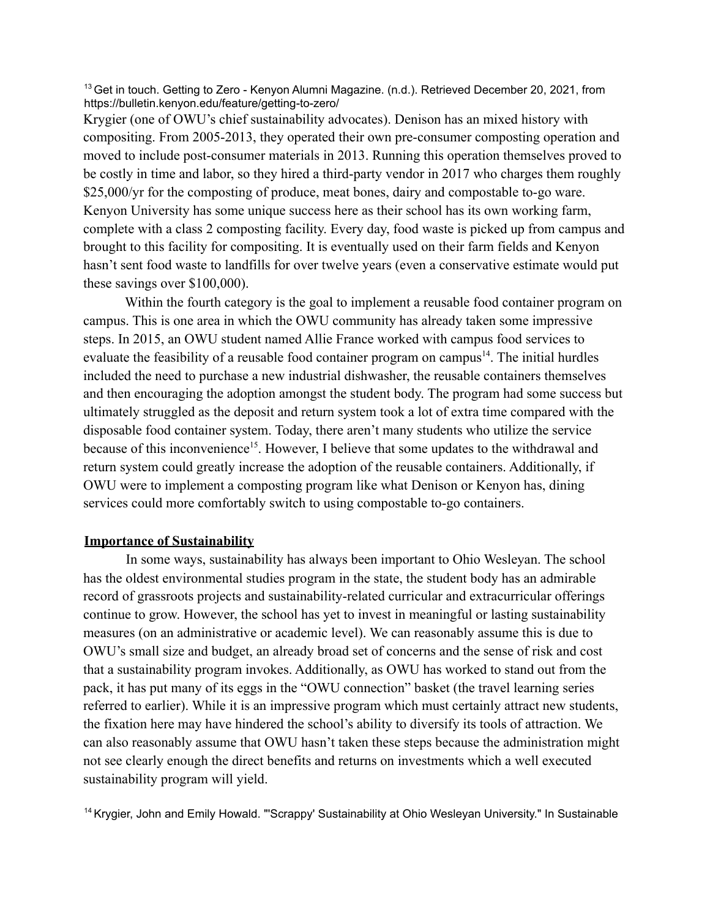<sup>13</sup> Get in touch. Getting to Zero - Kenyon Alumni Magazine. (n.d.). Retrieved December 20, 2021, from https://bulletin.kenyon.edu/feature/getting-to-zero/

Krygier (one of OWU's chief sustainability advocates). Denison has an mixed history with compositing. From 2005-2013, they operated their own pre-consumer composting operation and moved to include post-consumer materials in 2013. Running this operation themselves proved to be costly in time and labor, so they hired a third-party vendor in 2017 who charges them roughly \$25,000/yr for the composting of produce, meat bones, dairy and compostable to-go ware. Kenyon University has some unique success here as their school has its own working farm, complete with a class 2 composting facility. Every day, food waste is picked up from campus and brought to this facility for compositing. It is eventually used on their farm fields and Kenyon hasn't sent food waste to landfills for over twelve years (even a conservative estimate would put these savings over \$100,000).

Within the fourth category is the goal to implement a reusable food container program on campus. This is one area in which the OWU community has already taken some impressive steps. In 2015, an OWU student named Allie France worked with campus food services to evaluate the feasibility of a reusable food container program on campus $<sup>14</sup>$ . The initial hurdles</sup> included the need to purchase a new industrial dishwasher, the reusable containers themselves and then encouraging the adoption amongst the student body. The program had some success but ultimately struggled as the deposit and return system took a lot of extra time compared with the disposable food container system. Today, there aren't many students who utilize the service because of this inconvenience<sup>15</sup>. However, I believe that some updates to the withdrawal and return system could greatly increase the adoption of the reusable containers. Additionally, if OWU were to implement a composting program like what Denison or Kenyon has, dining services could more comfortably switch to using compostable to-go containers.

#### **Importance of Sustainability**

In some ways, sustainability has always been important to Ohio Wesleyan. The school has the oldest environmental studies program in the state, the student body has an admirable record of grassroots projects and sustainability-related curricular and extracurricular offerings continue to grow. However, the school has yet to invest in meaningful or lasting sustainability measures (on an administrative or academic level). We can reasonably assume this is due to OWU's small size and budget, an already broad set of concerns and the sense of risk and cost that a sustainability program invokes. Additionally, as OWU has worked to stand out from the pack, it has put many of its eggs in the "OWU connection" basket (the travel learning series referred to earlier). While it is an impressive program which must certainly attract new students, the fixation here may have hindered the school's ability to diversify its tools of attraction. We can also reasonably assume that OWU hasn't taken these steps because the administration might not see clearly enough the direct benefits and returns on investments which a well executed sustainability program will yield.

<sup>14</sup> Krygier, John and Emily Howald. "'Scrappy' Sustainability at Ohio Wesleyan University." In Sustainable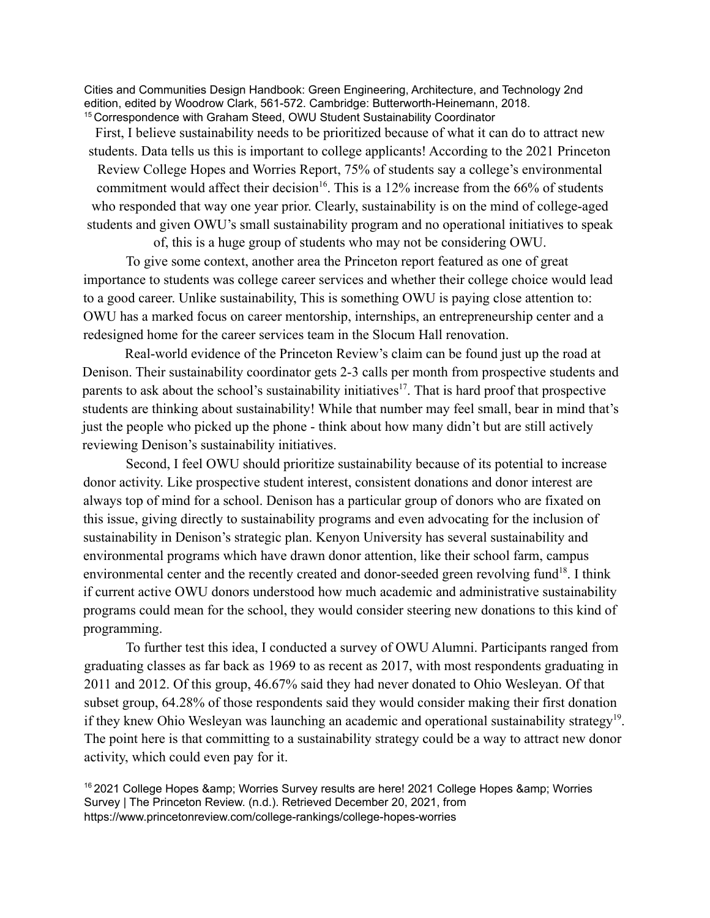Cities and Communities Design Handbook: Green Engineering, Architecture, and Technology 2nd edition, edited by Woodrow Clark, 561-572. Cambridge: Butterworth-Heinemann, 2018. <sup>15</sup> Correspondence with Graham Steed, OWU Student Sustainability Coordinator

First, I believe sustainability needs to be prioritized because of what it can do to attract new students. Data tells us this is important to college applicants! According to the 2021 Princeton Review College Hopes and Worries Report, 75% of students say a college's environmental commitment would affect their decision<sup>16</sup>. This is a 12% increase from the 66% of students who responded that way one year prior. Clearly, sustainability is on the mind of college-aged students and given OWU's small sustainability program and no operational initiatives to speak

of, this is a huge group of students who may not be considering OWU.

To give some context, another area the Princeton report featured as one of great importance to students was college career services and whether their college choice would lead to a good career. Unlike sustainability, This is something OWU is paying close attention to: OWU has a marked focus on career mentorship, internships, an entrepreneurship center and a redesigned home for the career services team in the Slocum Hall renovation.

Real-world evidence of the Princeton Review's claim can be found just up the road at Denison. Their sustainability coordinator gets 2-3 calls per month from prospective students and parents to ask about the school's sustainability initiatives<sup>17</sup>. That is hard proof that prospective students are thinking about sustainability! While that number may feel small, bear in mind that's just the people who picked up the phone - think about how many didn't but are still actively reviewing Denison's sustainability initiatives.

Second, I feel OWU should prioritize sustainability because of its potential to increase donor activity. Like prospective student interest, consistent donations and donor interest are always top of mind for a school. Denison has a particular group of donors who are fixated on this issue, giving directly to sustainability programs and even advocating for the inclusion of sustainability in Denison's strategic plan. Kenyon University has several sustainability and environmental programs which have drawn donor attention, like their school farm, campus environmental center and the recently created and donor-seeded green revolving fund<sup>18</sup>. I think if current active OWU donors understood how much academic and administrative sustainability programs could mean for the school, they would consider steering new donations to this kind of programming.

To further test this idea, I conducted a survey of OWU Alumni. Participants ranged from graduating classes as far back as 1969 to as recent as 2017, with most respondents graduating in 2011 and 2012. Of this group, 46.67% said they had never donated to Ohio Wesleyan. Of that subset group, 64.28% of those respondents said they would consider making their first donation if they knew Ohio Wesleyan was launching an academic and operational sustainability strategy<sup>19</sup>. The point here is that committing to a sustainability strategy could be a way to attract new donor activity, which could even pay for it.

 $16$  2021 College Hopes & amp; Worries Survey results are here! 2021 College Hopes & amp; Worries Survey | The Princeton Review. (n.d.). Retrieved December 20, 2021, from https://www.princetonreview.com/college-rankings/college-hopes-worries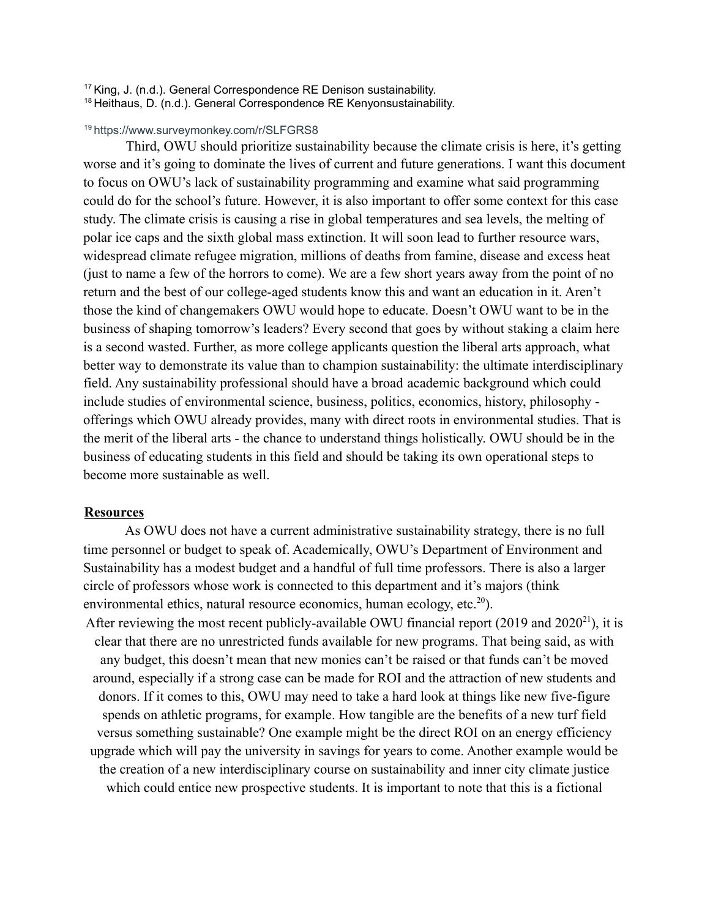<sup>17</sup> King, J. (n.d.). General Correspondence RE Denison sustainability.

<sup>18</sup> Heithaus, D. (n.d.). General Correspondence RE Kenyonsustainability.

#### <sup>19</sup> https://www.surveymonkey.com/r/SLFGRS8

Third, OWU should prioritize sustainability because the climate crisis is here, it's getting worse and it's going to dominate the lives of current and future generations. I want this document to focus on OWU's lack of sustainability programming and examine what said programming could do for the school's future. However, it is also important to offer some context for this case study. The climate crisis is causing a rise in global temperatures and sea levels, the melting of polar ice caps and the sixth global mass extinction. It will soon lead to further resource wars, widespread climate refugee migration, millions of deaths from famine, disease and excess heat (just to name a few of the horrors to come). We are a few short years away from the point of no return and the best of our college-aged students know this and want an education in it. Aren't those the kind of changemakers OWU would hope to educate. Doesn't OWU want to be in the business of shaping tomorrow's leaders? Every second that goes by without staking a claim here is a second wasted. Further, as more college applicants question the liberal arts approach, what better way to demonstrate its value than to champion sustainability: the ultimate interdisciplinary field. Any sustainability professional should have a broad academic background which could include studies of environmental science, business, politics, economics, history, philosophy offerings which OWU already provides, many with direct roots in environmental studies. That is the merit of the liberal arts - the chance to understand things holistically. OWU should be in the business of educating students in this field and should be taking its own operational steps to become more sustainable as well.

#### **Resources**

As OWU does not have a current administrative sustainability strategy, there is no full time personnel or budget to speak of. Academically, OWU's Department of Environment and Sustainability has a modest budget and a handful of full time professors. There is also a larger circle of professors whose work is connected to this department and it's majors (think environmental ethics, natural resource economics, human ecology, etc.<sup>20</sup>). After reviewing the most recent publicly-available OWU financial report  $(2019$  and  $2020<sup>21</sup>)$ , it is clear that there are no unrestricted funds available for new programs. That being said, as with any budget, this doesn't mean that new monies can't be raised or that funds can't be moved around, especially if a strong case can be made for ROI and the attraction of new students and donors. If it comes to this, OWU may need to take a hard look at things like new five-figure spends on athletic programs, for example. How tangible are the benefits of a new turf field versus something sustainable? One example might be the direct ROI on an energy efficiency upgrade which will pay the university in savings for years to come. Another example would be the creation of a new interdisciplinary course on sustainability and inner city climate justice which could entice new prospective students. It is important to note that this is a fictional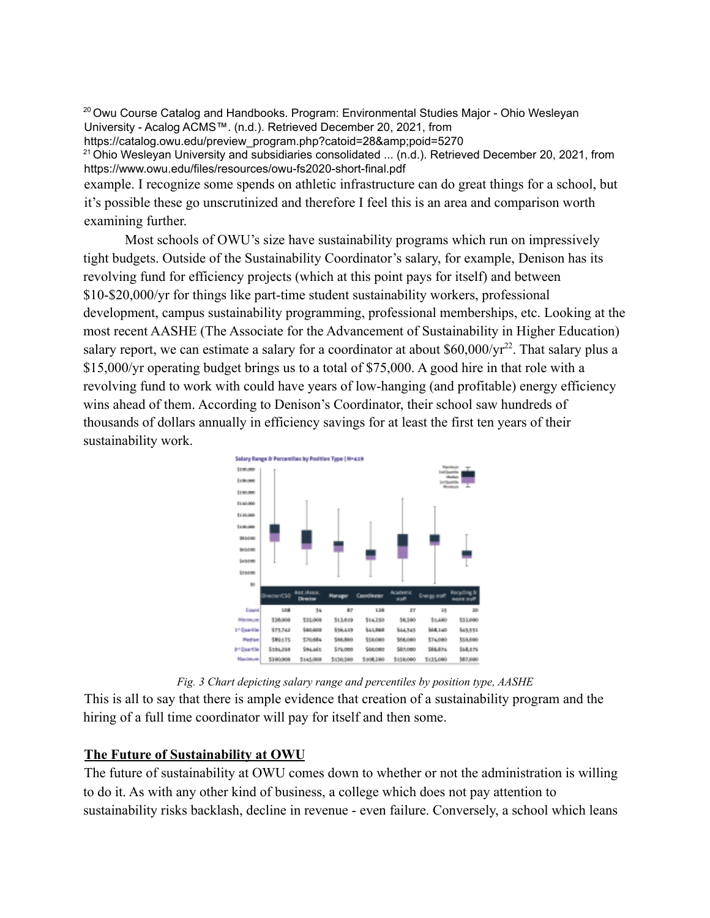<sup>20</sup> Owu Course Catalog and Handbooks. Program: Environmental Studies Major - Ohio Wesleyan University - Acalog ACMS™. (n.d.). Retrieved December 20, 2021, from

https://catalog.owu.edu/preview\_program.php?catoid=28&poid=5270

<sup>21</sup> Ohio Wesleyan University and subsidiaries consolidated ... (n.d.). Retrieved December 20, 2021, from https://www.owu.edu/files/resources/owu-fs2020-short-final.pdf

example. I recognize some spends on athletic infrastructure can do great things for a school, but it's possible these go unscrutinized and therefore I feel this is an area and comparison worth examining further.

Most schools of OWU's size have sustainability programs which run on impressively tight budgets. Outside of the Sustainability Coordinator's salary, for example, Denison has its revolving fund for efficiency projects (which at this point pays for itself) and between \$10-\$20,000/yr for things like part-time student sustainability workers, professional development, campus sustainability programming, professional memberships, etc. Looking at the most recent AASHE (The Associate for the Advancement of Sustainability in Higher Education) salary report, we can estimate a salary for a coordinator at about  $$60,000/yr^{22}$ . That salary plus a \$15,000/yr operating budget brings us to a total of \$75,000. A good hire in that role with a revolving fund to work with could have years of low-hanging (and profitable) energy efficiency wins ahead of them. According to Denison's Coordinator, their school saw hundreds of thousands of dollars annually in efficiency savings for at least the first ten years of their sustainability work.



*Fig. 3 Chart depicting salary range and percentiles by position type, AASHE*

This is all to say that there is ample evidence that creation of a sustainability program and the hiring of a full time coordinator will pay for itself and then some.

## **The Future of Sustainability at OWU**

The future of sustainability at OWU comes down to whether or not the administration is willing to do it. As with any other kind of business, a college which does not pay attention to sustainability risks backlash, decline in revenue - even failure. Conversely, a school which leans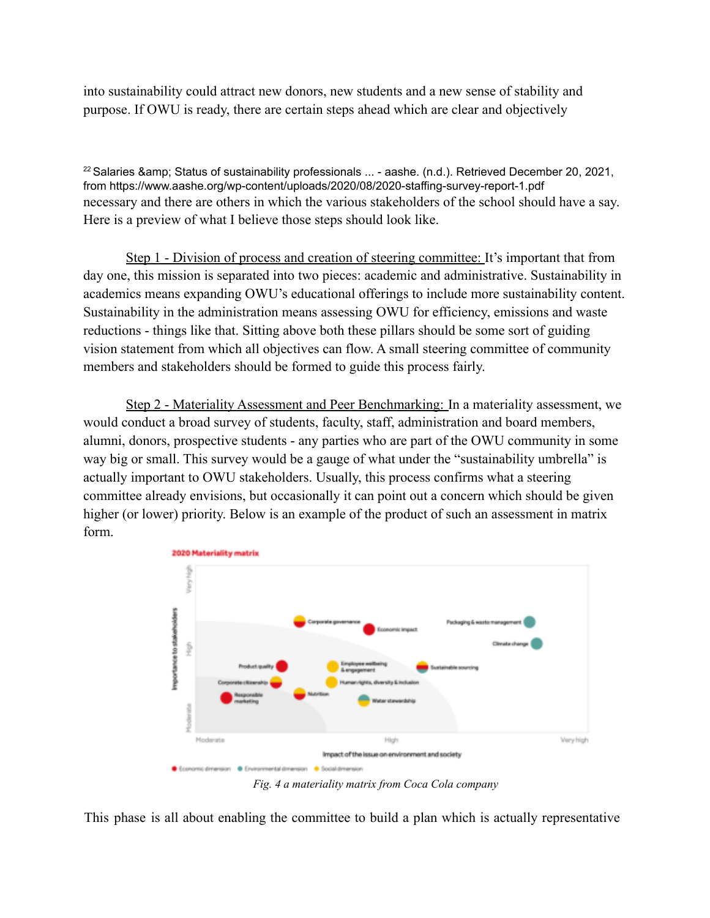into sustainability could attract new donors, new students and a new sense of stability and purpose. If OWU is ready, there are certain steps ahead which are clear and objectively

 $^{22}$  Salaries & amp; Status of sustainability professionals  $...$  - aashe. (n.d.). Retrieved December 20, 2021, from https://www.aashe.org/wp-content/uploads/2020/08/2020-staffing-survey-report-1.pdf necessary and there are others in which the various stakeholders of the school should have a say. Here is a preview of what I believe those steps should look like.

Step 1 - Division of process and creation of steering committee: It's important that from day one, this mission is separated into two pieces: academic and administrative. Sustainability in academics means expanding OWU's educational offerings to include more sustainability content. Sustainability in the administration means assessing OWU for efficiency, emissions and waste reductions - things like that. Sitting above both these pillars should be some sort of guiding vision statement from which all objectives can flow. A small steering committee of community members and stakeholders should be formed to guide this process fairly.

Step 2 - Materiality Assessment and Peer Benchmarking: In a materiality assessment, we would conduct a broad survey of students, faculty, staff, administration and board members, alumni, donors, prospective students - any parties who are part of the OWU community in some way big or small. This survey would be a gauge of what under the "sustainability umbrella" is actually important to OWU stakeholders. Usually, this process confirms what a steering committee already envisions, but occasionally it can point out a concern which should be given higher (or lower) priority. Below is an example of the product of such an assessment in matrix form.



*Fig. 4 a materiality matrix from Coca Cola company*

This phase is all about enabling the committee to build a plan which is actually representative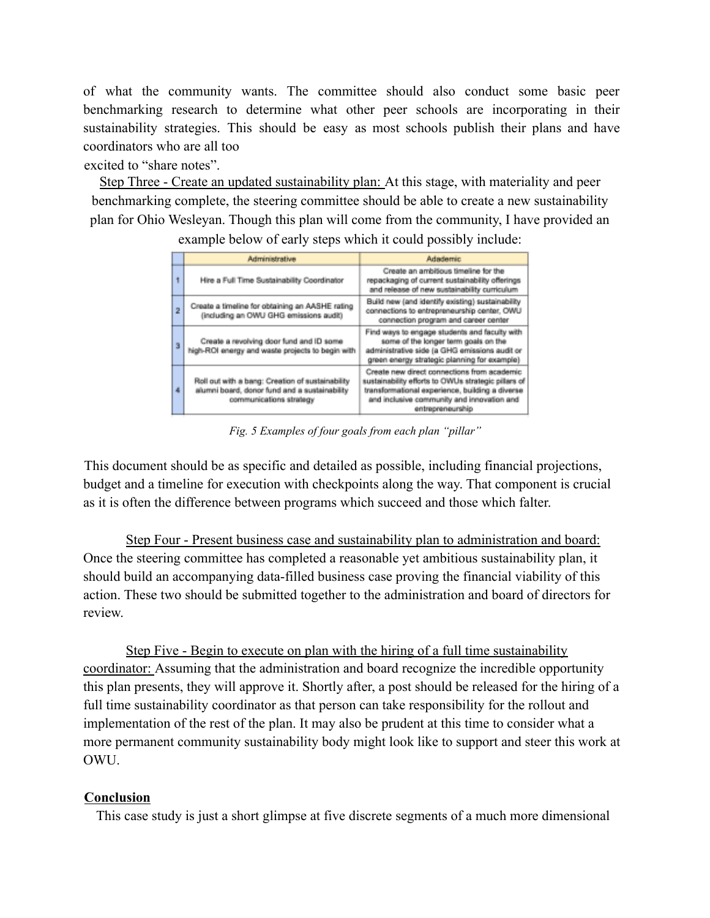of what the community wants. The committee should also conduct some basic peer benchmarking research to determine what other peer schools are incorporating in their sustainability strategies. This should be easy as most schools publish their plans and have coordinators who are all too

excited to "share notes".

Step Three - Create an updated sustainability plan: At this stage, with materiality and peer benchmarking complete, the steering committee should be able to create a new sustainability plan for Ohio Wesleyan. Though this plan will come from the community, I have provided an example below of early steps which it could possibly include:

|  |                         | Administrative                                                                                                               | <b>Adademic</b>                                                                                                                                                                                                         |  |
|--|-------------------------|------------------------------------------------------------------------------------------------------------------------------|-------------------------------------------------------------------------------------------------------------------------------------------------------------------------------------------------------------------------|--|
|  | 1                       | Hire a Full Time Sustainability Coordinator                                                                                  | Create an ambitious timeline for the<br>repackaging of current sustainability offerings<br>and release of new sustainability curriculum                                                                                 |  |
|  | 2                       | Create a timeline for obtaining an AASHE rating<br>(including an OWU GHG emissions audit)                                    | Build new (and identify existing) sustainability<br>connections to entrepreneurship center, OWU<br>connection program and career center                                                                                 |  |
|  | $\overline{\mathbf{3}}$ | Create a revolving door fund and ID some<br>high-ROI energy and waste projects to begin with                                 | Find ways to engage students and faculty with<br>some of the longer term goals on the<br>administrative side (a GHG emissions audit or<br>green energy strategic planning for example)                                  |  |
|  | 4                       | Roll out with a bang: Creation of sustainability<br>alumni board, donor fund and a sustainability<br>communications strategy | Create new direct connections from academic<br>sustainability efforts to OWUs strategic pillars of<br>transformational experience, building a diverse<br>and inclusive community and innovation and<br>entrepreneurship |  |

*Fig. 5 Examples of four goals from each plan "pillar"*

This document should be as specific and detailed as possible, including financial projections, budget and a timeline for execution with checkpoints along the way. That component is crucial as it is often the difference between programs which succeed and those which falter.

Step Four - Present business case and sustainability plan to administration and board: Once the steering committee has completed a reasonable yet ambitious sustainability plan, it should build an accompanying data-filled business case proving the financial viability of this action. These two should be submitted together to the administration and board of directors for review.

Step Five - Begin to execute on plan with the hiring of a full time sustainability coordinator: Assuming that the administration and board recognize the incredible opportunity this plan presents, they will approve it. Shortly after, a post should be released for the hiring of a full time sustainability coordinator as that person can take responsibility for the rollout and implementation of the rest of the plan. It may also be prudent at this time to consider what a more permanent community sustainability body might look like to support and steer this work at OWU.

## **Conclusion**

This case study is just a short glimpse at five discrete segments of a much more dimensional